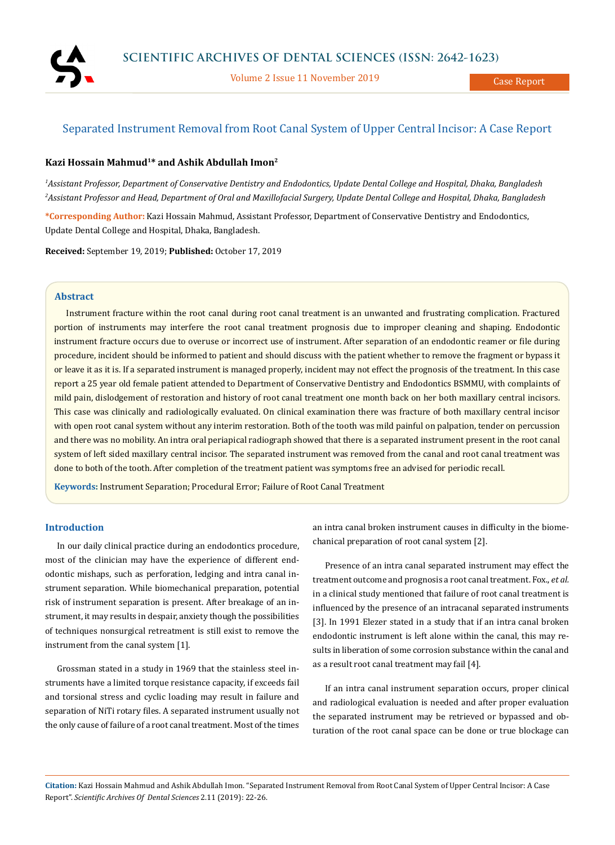

Volume 2 Issue 11 November 2019

# Separated Instrument Removal from Root Canal System of Upper Central Incisor: A Case Report

## **Kazi Hossain Mahmud1\* and Ashik Abdullah Imon2**

*1 Assistant Professor, Department of Conservative Dentistry and Endodontics, Update Dental College and Hospital, Dhaka, Bangladesh 2 Assistant Professor and Head, Department of Oral and Maxillofacial Surgery, Update Dental College and Hospital, Dhaka, Bangladesh*

**\*Corresponding Author:** Kazi Hossain Mahmud, Assistant Professor, Department of Conservative Dentistry and Endodontics, Update Dental College and Hospital, Dhaka, Bangladesh.

**Received:** September 19, 2019; **Published:** October 17, 2019

## **Abstract**

Instrument fracture within the root canal during root canal treatment is an unwanted and frustrating complication. Fractured portion of instruments may interfere the root canal treatment prognosis due to improper cleaning and shaping. Endodontic instrument fracture occurs due to overuse or incorrect use of instrument. After separation of an endodontic reamer or file during procedure, incident should be informed to patient and should discuss with the patient whether to remove the fragment or bypass it or leave it as it is. If a separated instrument is managed properly, incident may not effect the prognosis of the treatment. In this case report a 25 year old female patient attended to Department of Conservative Dentistry and Endodontics BSMMU, with complaints of mild pain, dislodgement of restoration and history of root canal treatment one month back on her both maxillary central incisors. This case was clinically and radiologically evaluated. On clinical examination there was fracture of both maxillary central incisor with open root canal system without any interim restoration. Both of the tooth was mild painful on palpation, tender on percussion and there was no mobility. An intra oral periapical radiograph showed that there is a separated instrument present in the root canal system of left sided maxillary central incisor. The separated instrument was removed from the canal and root canal treatment was done to both of the tooth. After completion of the treatment patient was symptoms free an advised for periodic recall.

**Keywords:** Instrument Separation; Procedural Error; Failure of Root Canal Treatment

## **Introduction**

In our daily clinical practice during an endodontics procedure, most of the clinician may have the experience of different endodontic mishaps, such as perforation, ledging and intra canal instrument separation. While biomechanical preparation, potential risk of instrument separation is present. After breakage of an instrument, it may results in despair, anxiety though the possibilities of techniques nonsurgical retreatment is still exist to remove the instrument from the canal system [1].

Grossman stated in a study in 1969 that the stainless steel instruments have a limited torque resistance capacity, if exceeds fail and torsional stress and cyclic loading may result in failure and separation of NiTi rotary files. A separated instrument usually not the only cause of failure of a root canal treatment. Most of the times an intra canal broken instrument causes in difficulty in the biomechanical preparation of root canal system [2].

Presence of an intra canal separated instrument may effect the treatment outcome and prognosis a root canal treatment. Fox., *et al.* in a clinical study mentioned that failure of root canal treatment is influenced by the presence of an intracanal separated instruments [3]. In 1991 Elezer stated in a study that if an intra canal broken endodontic instrument is left alone within the canal, this may results in liberation of some corrosion substance within the canal and as a result root canal treatment may fail [4].

If an intra canal instrument separation occurs, proper clinical and radiological evaluation is needed and after proper evaluation the separated instrument may be retrieved or bypassed and obturation of the root canal space can be done or true blockage can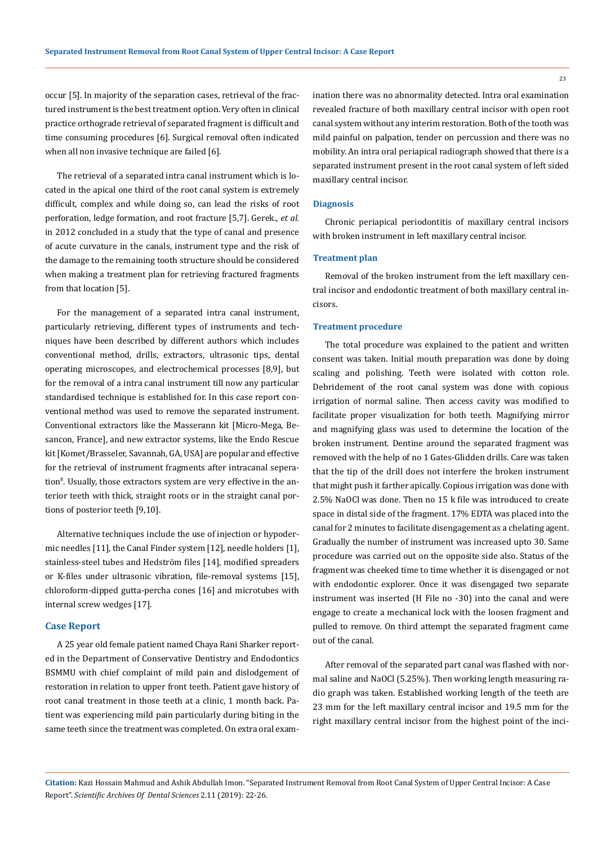occur [5]. In majority of the separation cases, retrieval of the fractured instrument is the best treatment option. Very often in clinical practice orthograde retrieval of separated fragment is difficult and time consuming procedures [6]. Surgical removal often indicated when all non invasive technique are failed [6].

The retrieval of a separated intra canal instrument which is located in the apical one third of the root canal system is extremely difficult, complex and while doing so, can lead the risks of root perforation, ledge formation, and root fracture [5,7]. Gerek., *et al.* in 2012 concluded in a study that the type of canal and presence of acute curvature in the canals, instrument type and the risk of the damage to the remaining tooth structure should be considered when making a treatment plan for retrieving fractured fragments from that location [5].

For the management of a separated intra canal instrument, particularly retrieving, different types of instruments and techniques have been described by different authors which includes conventional method, drills, extractors, ultrasonic tips, dental operating microscopes, and electrochemical processes [8,9], but for the removal of a intra canal instrument till now any particular standardised technique is established for. In this case report conventional method was used to remove the separated instrument. Conventional extractors like the Masserann kit [Micro-Mega, Besancon, France], and new extractor systems, like the Endo Rescue kit [Komet/Brasseler, Savannah, GA, USA] are popular and effective for the retrieval of instrument fragments after intracanal seperation<sup>8</sup>. Usually, those extractors system are very effective in the anterior teeth with thick, straight roots or in the straight canal portions of posterior teeth [9,10].

Alternative techniques include the use of injection or hypodermic needles [11], the Canal Finder system [12], needle holders [1], stainless-steel tubes and Hedström files [14], modified spreaders or K-files under ultrasonic vibration, file-removal systems [15], chloroform-dipped gutta-percha cones [16] and microtubes with internal screw wedges [17].

## **Case Report**

A 25 year old female patient named Chaya Rani Sharker reported in the Department of Conservative Dentistry and Endodontics BSMMU with chief complaint of mild pain and dislodgement of restoration in relation to upper front teeth. Patient gave history of root canal treatment in those teeth at a clinic, 1 month back. Patient was experiencing mild pain particularly during biting in the same teeth since the treatment was completed. On extra oral examination there was no abnormality detected. Intra oral examination revealed fracture of both maxillary central incisor with open root canal system without any interim restoration. Both of the tooth was mild painful on palpation, tender on percussion and there was no mobility. An intra oral periapical radiograph showed that there is a separated instrument present in the root canal system of left sided maxillary central incisor.

#### **Diagnosis**

Chronic periapical periodontitis of maxillary central incisors with broken instrument in left maxillary central incisor.

#### **Treatment plan**

Removal of the broken instrument from the left maxillary central incisor and endodontic treatment of both maxillary central incisors.

### **Treatment procedure**

The total procedure was explained to the patient and written consent was taken. Initial mouth preparation was done by doing scaling and polishing. Teeth were isolated with cotton role. Debridement of the root canal system was done with copious irrigation of normal saline. Then access cavity was modified to facilitate proper visualization for both teeth. Magnifying mirror and magnifying glass was used to determine the location of the broken instrument. Dentine around the separated fragment was removed with the help of no 1 Gates-Glidden drills. Care was taken that the tip of the drill does not interfere the broken instrument that might push it farther apically. Copious irrigation was done with 2.5% NaOCl was done. Then no 15 k file was introduced to create space in distal side of the fragment. 17% EDTA was placed into the canal for 2 minutes to facilitate disengagement as a chelating agent. Gradually the number of instrument was increased upto 30. Same procedure was carried out on the opposite side also. Status of the fragment was cheeked time to time whether it is disengaged or not with endodontic explorer. Once it was disengaged two separate instrument was inserted (H File no -30) into the canal and were engage to create a mechanical lock with the loosen fragment and pulled to remove. On third attempt the separated fragment came out of the canal.

After removal of the separated part canal was flashed with normal saline and NaOCl (5.25%). Then working length measuring radio graph was taken. Established working length of the teeth are 23 mm for the left maxillary central incisor and 19.5 mm for the right maxillary central incisor from the highest point of the inci-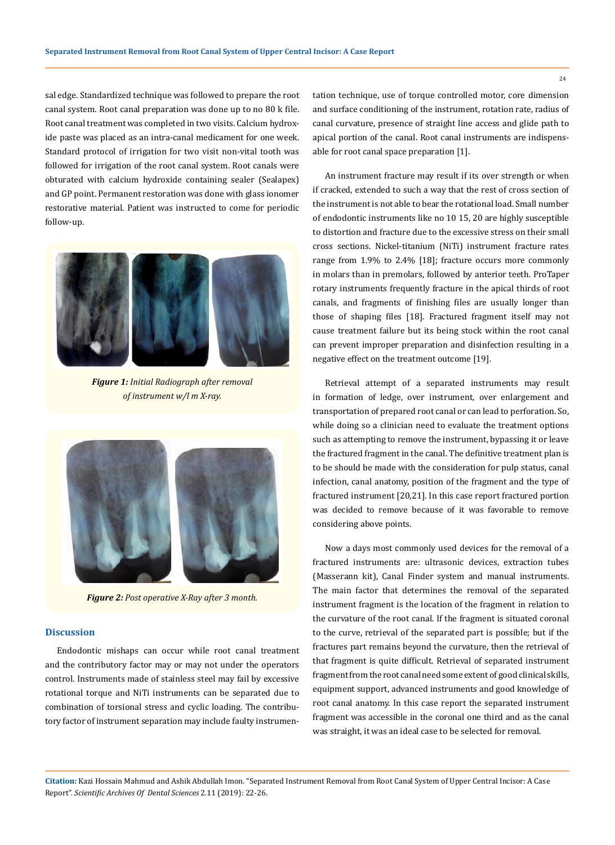sal edge. Standardized technique was followed to prepare the root canal system. Root canal preparation was done up to no 80 k file. Root canal treatment was completed in two visits. Calcium hydroxide paste was placed as an intra-canal medicament for one week. Standard protocol of irrigation for two visit non-vital tooth was followed for irrigation of the root canal system. Root canals were obturated with calcium hydroxide containing sealer (Sealapex) and GP point. Permanent restoration was done with glass ionomer restorative material. Patient was instructed to come for periodic follow-up.



*Figure 1: Initial Radiograph after removal of instrument w/l m X-ray.*



*Figure 2: Post operative X-Ray after 3 month.*

#### **Discussion**

Endodontic mishaps can occur while root canal treatment and the contributory factor may or may not under the operators control. Instruments made of stainless steel may fail by excessive rotational torque and NiTi instruments can be separated due to combination of torsional stress and cyclic loading. The contributory factor of instrument separation may include faulty instrumentation technique, use of torque controlled motor, core dimension and surface conditioning of the instrument, rotation rate, radius of canal curvature, presence of straight line access and glide path to apical portion of the canal. Root canal instruments are indispensable for root canal space preparation [1].

An instrument fracture may result if its over strength or when if cracked, extended to such a way that the rest of cross section of the instrument is not able to bear the rotational load. Small number of endodontic instruments like no 10 15, 20 are highly susceptible to distortion and fracture due to the excessive stress on their small cross sections. Nickel-titanium (NiTi) instrument fracture rates range from 1.9% to 2.4% [18]; fracture occurs more commonly in molars than in premolars, followed by anterior teeth. ProTaper rotary instruments frequently fracture in the apical thirds of root canals, and fragments of finishing files are usually longer than those of shaping files [18]. Fractured fragment itself may not cause treatment failure but its being stock within the root canal can prevent improper preparation and disinfection resulting in a negative effect on the treatment outcome [19].

Retrieval attempt of a separated instruments may result in formation of ledge, over instrument, over enlargement and transportation of prepared root canal or can lead to perforation. So, while doing so a clinician need to evaluate the treatment options such as attempting to remove the instrument, bypassing it or leave the fractured fragment in the canal. The definitive treatment plan is to be should be made with the consideration for pulp status, canal infection, canal anatomy, position of the fragment and the type of fractured instrument [20,21]. In this case report fractured portion was decided to remove because of it was favorable to remove considering above points.

Now a days most commonly used devices for the removal of a fractured instruments are: ultrasonic devices, extraction tubes (Masserann kit), Canal Finder system and manual instruments. The main factor that determines the removal of the separated instrument fragment is the location of the fragment in relation to the curvature of the root canal. If the fragment is situated coronal to the curve, retrieval of the separated part is possible; but if the fractures part remains beyond the curvature, then the retrieval of that fragment is quite difficult. Retrieval of separated instrument fragment from the root canal need some extent of good clinical skills, equipment support, advanced instruments and good knowledge of root canal anatomy. In this case report the separated instrument fragment was accessible in the coronal one third and as the canal was straight, it was an ideal case to be selected for removal.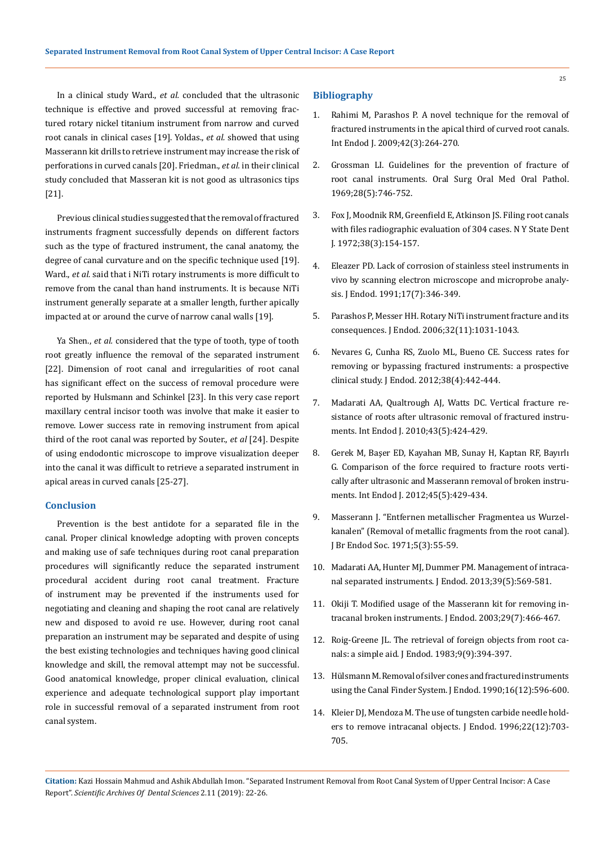In a clinical study Ward., *et al.* concluded that the ultrasonic technique is effective and proved successful at removing fractured rotary nickel titanium instrument from narrow and curved root canals in clinical cases [19]. Yoldas., *et al.* showed that using Masserann kit drills to retrieve instrument may increase the risk of perforations in curved canals [20]. Friedman., *et al.* in their clinical study concluded that Masseran kit is not good as ultrasonics tips [21].

Previous clinical studies suggested that the removal of fractured instruments fragment successfully depends on different factors such as the type of fractured instrument, the canal anatomy, the degree of canal curvature and on the specific technique used [19]. Ward., *et al.* said that i NiTi rotary instruments is more difficult to remove from the canal than hand instruments. It is because NiTi instrument generally separate at a smaller length, further apically impacted at or around the curve of narrow canal walls [19].

Ya Shen., *et al.* considered that the type of tooth, type of tooth root greatly influence the removal of the separated instrument [22]. Dimension of root canal and irregularities of root canal has significant effect on the success of removal procedure were reported by Hulsmann and Schinkel [23]. In this very case report maxillary central incisor tooth was involve that make it easier to remove. Lower success rate in removing instrument from apical third of the root canal was reported by Souter., *et al* [24]. Despite of using endodontic microscope to improve visualization deeper into the canal it was difficult to retrieve a separated instrument in apical areas in curved canals [25-27].

## **Conclusion**

Prevention is the best antidote for a separated file in the canal. Proper clinical knowledge adopting with proven concepts and making use of safe techniques during root canal preparation procedures will significantly reduce the separated instrument procedural accident during root canal treatment. Fracture of instrument may be prevented if the instruments used for negotiating and cleaning and shaping the root canal are relatively new and disposed to avoid re use. However, during root canal preparation an instrument may be separated and despite of using the best existing technologies and techniques having good clinical knowledge and skill, the removal attempt may not be successful. Good anatomical knowledge, proper clinical evaluation, clinical experience and adequate technological support play important role in successful removal of a separated instrument from root canal system.

### **Bibliography**

- 1. [Rahimi M, Parashos P. A novel technique for the removal of](https://www.ncbi.nlm.nih.gov/pubmed/19228217)  [fractured instruments in the apical third of curved root canals.](https://www.ncbi.nlm.nih.gov/pubmed/19228217)  [Int Endod J. 2009;42\(3\):264-270.](https://www.ncbi.nlm.nih.gov/pubmed/19228217)
- 2. [Grossman LI. Guidelines for the prevention of fracture of](https://www.ncbi.nlm.nih.gov/pubmed/5259460)  [root canal instruments. Oral Surg Oral Med Oral Pathol.](https://www.ncbi.nlm.nih.gov/pubmed/5259460)  [1969;28\(5\):746-752.](https://www.ncbi.nlm.nih.gov/pubmed/5259460)
- 3. [Fox J, Moodnik RM, Greenfield E, Atkinson JS. Filing root canals](https://www.ncbi.nlm.nih.gov/pubmed/4500382)  [with files radiographic evaluation of 304 cases. N Y State Dent](https://www.ncbi.nlm.nih.gov/pubmed/4500382)  [J. 1972;38\(3\):154-157.](https://www.ncbi.nlm.nih.gov/pubmed/4500382)
- 4. [Eleazer PD. Lack of corrosion of stainless steel instruments in](https://www.ncbi.nlm.nih.gov/pubmed/1779221)  [vivo by scanning electron microscope and microprobe analy](https://www.ncbi.nlm.nih.gov/pubmed/1779221)[sis. J Endod. 1991;17\(7\):346-349.](https://www.ncbi.nlm.nih.gov/pubmed/1779221)
- 5. [Parashos P, Messer HH. Rotary NiTi instrument fracture and its](https://www.ncbi.nlm.nih.gov/pubmed/17055902)  [consequences. J Endod. 2006;32\(11\):1031-1043.](https://www.ncbi.nlm.nih.gov/pubmed/17055902)
- 6. [Nevares G, Cunha RS, Zuolo ML, Bueno CE. Success rates for](https://www.ncbi.nlm.nih.gov/pubmed/22414826)  [removing or bypassing fractured instruments: a prospective](https://www.ncbi.nlm.nih.gov/pubmed/22414826)  [clinical study. J Endod. 2012;38\(4\):442-444.](https://www.ncbi.nlm.nih.gov/pubmed/22414826)
- 7. [Madarati AA, Qualtrough AJ, Watts DC. Vertical fracture re](https://www.ncbi.nlm.nih.gov/pubmed/20518936)[sistance of roots after ultrasonic removal of fractured instru](https://www.ncbi.nlm.nih.gov/pubmed/20518936)[ments. Int Endod J. 2010;43\(5\):424-429.](https://www.ncbi.nlm.nih.gov/pubmed/20518936)
- 8. [Gerek M, Başer ED, Kayahan MB, Sunay H, Kaptan RF, Bayırlı](https://www.ncbi.nlm.nih.gov/pubmed/22188327)  [G. Comparison of the force required to fracture roots verti](https://www.ncbi.nlm.nih.gov/pubmed/22188327)[cally after ultrasonic and Masserann removal of broken instru](https://www.ncbi.nlm.nih.gov/pubmed/22188327)[ments. Int Endod J. 2012;45\(5\):429-434.](https://www.ncbi.nlm.nih.gov/pubmed/22188327)
- 9. [Masserann J. "Entfernen metallischer Fragmentea us Wurzel](https://onlinelibrary.wiley.com/doi/abs/10.1111/j.1365-2591.1971.tb00047.x)[kanalen" \(Removal of metallic fragments from the root canal\).](https://onlinelibrary.wiley.com/doi/abs/10.1111/j.1365-2591.1971.tb00047.x)  [J Br Endod Soc. 1971;5\(3\):55-59.](https://onlinelibrary.wiley.com/doi/abs/10.1111/j.1365-2591.1971.tb00047.x)
- 10. [Madarati AA, Hunter MJ, Dummer PM. Management of intraca](https://www.ncbi.nlm.nih.gov/pubmed/23611371)[nal separated instruments. J Endod. 2013;39\(5\):569-581.](https://www.ncbi.nlm.nih.gov/pubmed/23611371)
- 11. [Okiji T. Modified usage of the Masserann kit for removing in](https://www.ncbi.nlm.nih.gov/pubmed/12877265)[tracanal broken instruments. J Endod. 2003;29\(7\):466-467.](https://www.ncbi.nlm.nih.gov/pubmed/12877265)
- 12. [Roig-Greene JL. The retrieval of foreign objects from root ca](https://www.ncbi.nlm.nih.gov/pubmed/6579199)[nals: a simple aid. J Endod. 1983;9\(9\):394-397.](https://www.ncbi.nlm.nih.gov/pubmed/6579199)
- 13. [Hülsmann M. Removal of silver cones and fractured instruments](https://www.ncbi.nlm.nih.gov/pubmed/2094763)  [using the Canal Finder System. J Endod. 1990;16\(12\):596-600.](https://www.ncbi.nlm.nih.gov/pubmed/2094763)
- 14. [Kleier DJ, Mendoza M. The use of tungsten carbide needle hold](https://www.ncbi.nlm.nih.gov/pubmed/9220761)[ers to remove intracanal objects. J Endod. 1996;22\(12\):703-](https://www.ncbi.nlm.nih.gov/pubmed/9220761) [705.](https://www.ncbi.nlm.nih.gov/pubmed/9220761)